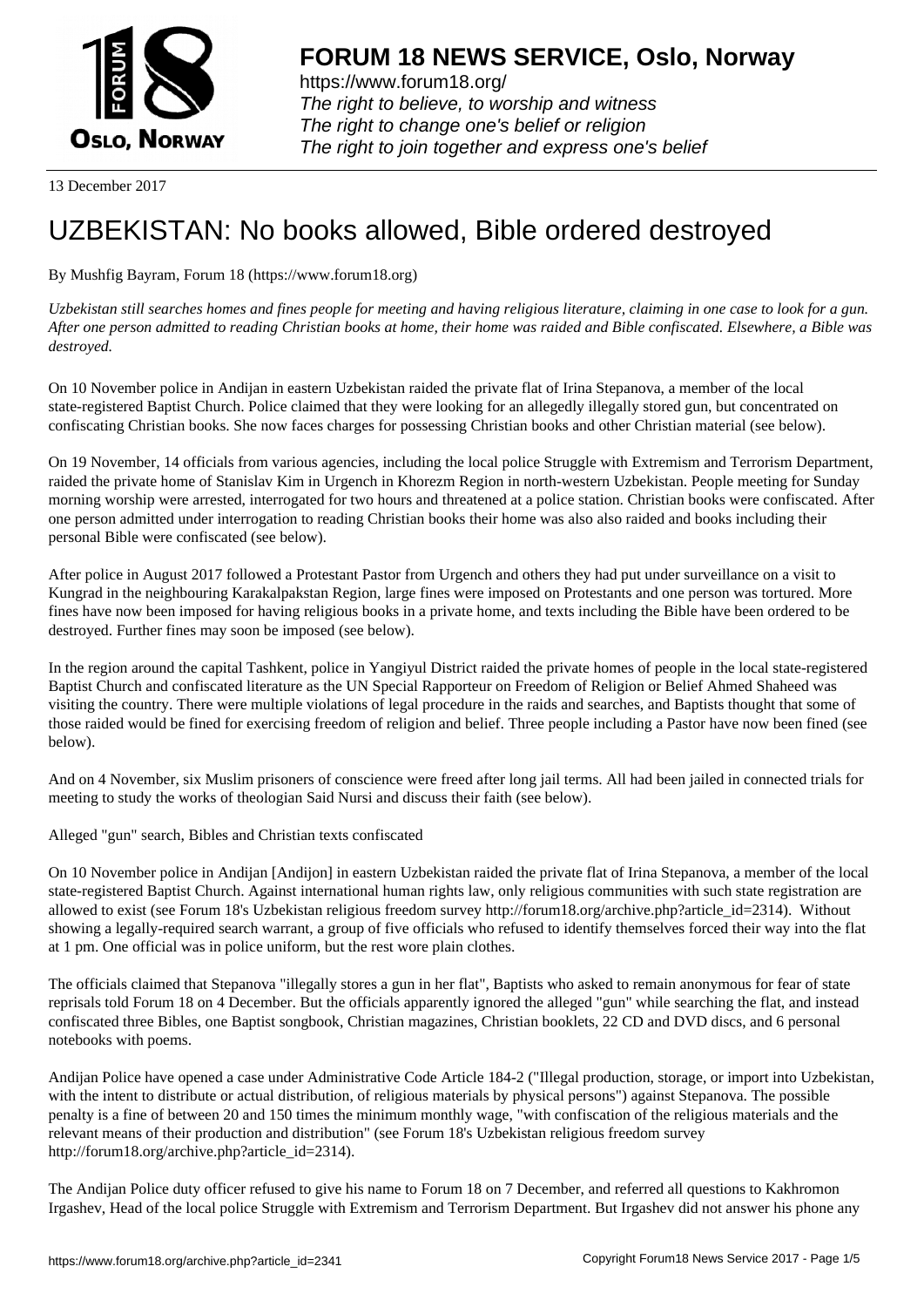

https://www.forum18.org/ The right to believe, to worship and witness The right to change one's belief or religion [The right to join together a](https://www.forum18.org/)nd express one's belief

13 December 2017

## [UZBEKISTAN:](https://www.forum18.org) No books allowed, Bible ordered destroyed

By Mushfig Bayram, Forum 18 (https://www.forum18.org)

*Uzbekistan still searches homes and fines people for meeting and having religious literature, claiming in one case to look for a gun. After one person admitted to reading Christian books at home, their home was raided and Bible confiscated. Elsewhere, a Bible was destroyed.*

On 10 November police in Andijan in eastern Uzbekistan raided the private flat of Irina Stepanova, a member of the local state-registered Baptist Church. Police claimed that they were looking for an allegedly illegally stored gun, but concentrated on confiscating Christian books. She now faces charges for possessing Christian books and other Christian material (see below).

On 19 November, 14 officials from various agencies, including the local police Struggle with Extremism and Terrorism Department, raided the private home of Stanislav Kim in Urgench in Khorezm Region in north-western Uzbekistan. People meeting for Sunday morning worship were arrested, interrogated for two hours and threatened at a police station. Christian books were confiscated. After one person admitted under interrogation to reading Christian books their home was also also raided and books including their personal Bible were confiscated (see below).

After police in August 2017 followed a Protestant Pastor from Urgench and others they had put under surveillance on a visit to Kungrad in the neighbouring Karakalpakstan Region, large fines were imposed on Protestants and one person was tortured. More fines have now been imposed for having religious books in a private home, and texts including the Bible have been ordered to be destroyed. Further fines may soon be imposed (see below).

In the region around the capital Tashkent, police in Yangiyul District raided the private homes of people in the local state-registered Baptist Church and confiscated literature as the UN Special Rapporteur on Freedom of Religion or Belief Ahmed Shaheed was visiting the country. There were multiple violations of legal procedure in the raids and searches, and Baptists thought that some of those raided would be fined for exercising freedom of religion and belief. Three people including a Pastor have now been fined (see below).

And on 4 November, six Muslim prisoners of conscience were freed after long jail terms. All had been jailed in connected trials for meeting to study the works of theologian Said Nursi and discuss their faith (see below).

Alleged "gun" search, Bibles and Christian texts confiscated

On 10 November police in Andijan [Andijon] in eastern Uzbekistan raided the private flat of Irina Stepanova, a member of the local state-registered Baptist Church. Against international human rights law, only religious communities with such state registration are allowed to exist (see Forum 18's Uzbekistan religious freedom survey http://forum18.org/archive.php?article\_id=2314). Without showing a legally-required search warrant, a group of five officials who refused to identify themselves forced their way into the flat at 1 pm. One official was in police uniform, but the rest wore plain clothes.

The officials claimed that Stepanova "illegally stores a gun in her flat", Baptists who asked to remain anonymous for fear of state reprisals told Forum 18 on 4 December. But the officials apparently ignored the alleged "gun" while searching the flat, and instead confiscated three Bibles, one Baptist songbook, Christian magazines, Christian booklets, 22 CD and DVD discs, and 6 personal notebooks with poems.

Andijan Police have opened a case under Administrative Code Article 184-2 ("Illegal production, storage, or import into Uzbekistan, with the intent to distribute or actual distribution, of religious materials by physical persons") against Stepanova. The possible penalty is a fine of between 20 and 150 times the minimum monthly wage, "with confiscation of the religious materials and the relevant means of their production and distribution" (see Forum 18's Uzbekistan religious freedom survey http://forum18.org/archive.php?article\_id=2314).

The Andijan Police duty officer refused to give his name to Forum 18 on 7 December, and referred all questions to Kakhromon Irgashev, Head of the local police Struggle with Extremism and Terrorism Department. But Irgashev did not answer his phone any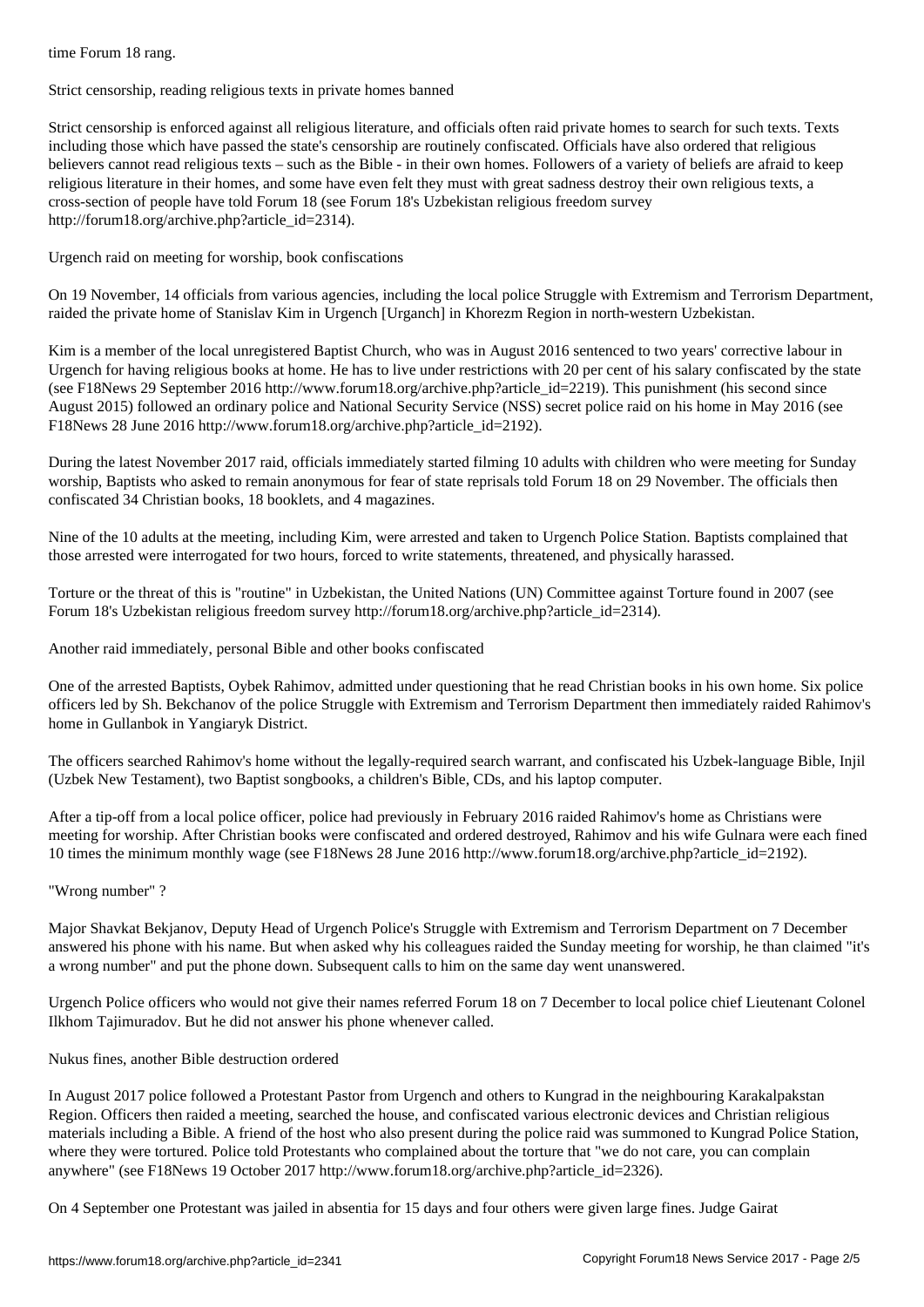Strict censorship, reading religious texts in private homes banned

Strict censorship is enforced against all religious literature, and officials often raid private homes to search for such texts. Texts including those which have passed the state's censorship are routinely confiscated. Officials have also ordered that religious believers cannot read religious texts – such as the Bible - in their own homes. Followers of a variety of beliefs are afraid to keep religious literature in their homes, and some have even felt they must with great sadness destroy their own religious texts, a cross-section of people have told Forum 18 (see Forum 18's Uzbekistan religious freedom survey http://forum18.org/archive.php?article\_id=2314).

Urgench raid on meeting for worship, book confiscations

On 19 November, 14 officials from various agencies, including the local police Struggle with Extremism and Terrorism Department, raided the private home of Stanislav Kim in Urgench [Urganch] in Khorezm Region in north-western Uzbekistan.

Kim is a member of the local unregistered Baptist Church, who was in August 2016 sentenced to two years' corrective labour in Urgench for having religious books at home. He has to live under restrictions with 20 per cent of his salary confiscated by the state (see F18News 29 September 2016 http://www.forum18.org/archive.php?article\_id=2219). This punishment (his second since August 2015) followed an ordinary police and National Security Service (NSS) secret police raid on his home in May 2016 (see F18News 28 June 2016 http://www.forum18.org/archive.php?article\_id=2192).

During the latest November 2017 raid, officials immediately started filming 10 adults with children who were meeting for Sunday worship, Baptists who asked to remain anonymous for fear of state reprisals told Forum 18 on 29 November. The officials then confiscated 34 Christian books, 18 booklets, and 4 magazines.

Nine of the 10 adults at the meeting, including Kim, were arrested and taken to Urgench Police Station. Baptists complained that those arrested were interrogated for two hours, forced to write statements, threatened, and physically harassed.

Torture or the threat of this is "routine" in Uzbekistan, the United Nations (UN) Committee against Torture found in 2007 (see Forum 18's Uzbekistan religious freedom survey http://forum18.org/archive.php?article\_id=2314).

Another raid immediately, personal Bible and other books confiscated

One of the arrested Baptists, Oybek Rahimov, admitted under questioning that he read Christian books in his own home. Six police officers led by Sh. Bekchanov of the police Struggle with Extremism and Terrorism Department then immediately raided Rahimov's home in Gullanbok in Yangiaryk District.

The officers searched Rahimov's home without the legally-required search warrant, and confiscated his Uzbek-language Bible, Injil (Uzbek New Testament), two Baptist songbooks, a children's Bible, CDs, and his laptop computer.

After a tip-off from a local police officer, police had previously in February 2016 raided Rahimov's home as Christians were meeting for worship. After Christian books were confiscated and ordered destroyed, Rahimov and his wife Gulnara were each fined 10 times the minimum monthly wage (see F18News 28 June 2016 http://www.forum18.org/archive.php?article\_id=2192).

"Wrong number" ?

Major Shavkat Bekjanov, Deputy Head of Urgench Police's Struggle with Extremism and Terrorism Department on 7 December answered his phone with his name. But when asked why his colleagues raided the Sunday meeting for worship, he than claimed "it's a wrong number" and put the phone down. Subsequent calls to him on the same day went unanswered.

Urgench Police officers who would not give their names referred Forum 18 on 7 December to local police chief Lieutenant Colonel Ilkhom Tajimuradov. But he did not answer his phone whenever called.

Nukus fines, another Bible destruction ordered

In August 2017 police followed a Protestant Pastor from Urgench and others to Kungrad in the neighbouring Karakalpakstan Region. Officers then raided a meeting, searched the house, and confiscated various electronic devices and Christian religious materials including a Bible. A friend of the host who also present during the police raid was summoned to Kungrad Police Station, where they were tortured. Police told Protestants who complained about the torture that "we do not care, you can complain anywhere" (see F18News 19 October 2017 http://www.forum18.org/archive.php?article\_id=2326).

On 4 September one Protestant was jailed in absentia for 15 days and four others were given large fines. Judge Gairat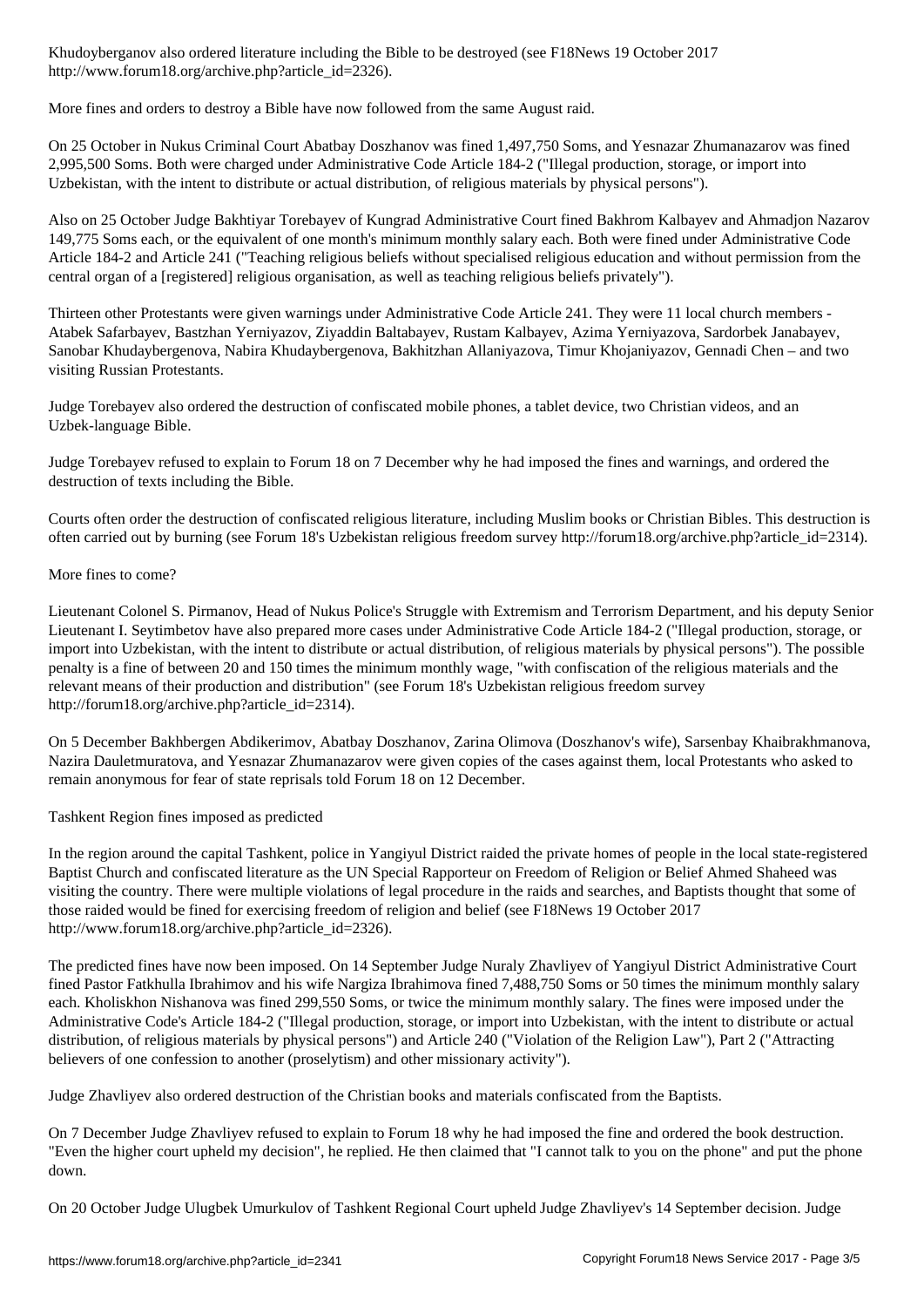http://www.forum18.org/archive.php?article\_id=2326).

More fines and orders to destroy a Bible have now followed from the same August raid.

On 25 October in Nukus Criminal Court Abatbay Doszhanov was fined 1,497,750 Soms, and Yesnazar Zhumanazarov was fined 2,995,500 Soms. Both were charged under Administrative Code Article 184-2 ("Illegal production, storage, or import into Uzbekistan, with the intent to distribute or actual distribution, of religious materials by physical persons").

Also on 25 October Judge Bakhtiyar Torebayev of Kungrad Administrative Court fined Bakhrom Kalbayev and Ahmadjon Nazarov 149,775 Soms each, or the equivalent of one month's minimum monthly salary each. Both were fined under Administrative Code Article 184-2 and Article 241 ("Teaching religious beliefs without specialised religious education and without permission from the central organ of a [registered] religious organisation, as well as teaching religious beliefs privately").

Thirteen other Protestants were given warnings under Administrative Code Article 241. They were 11 local church members - Atabek Safarbayev, Bastzhan Yerniyazov, Ziyaddin Baltabayev, Rustam Kalbayev, Azima Yerniyazova, Sardorbek Janabayev, Sanobar Khudaybergenova, Nabira Khudaybergenova, Bakhitzhan Allaniyazova, Timur Khojaniyazov, Gennadi Chen – and two visiting Russian Protestants.

Judge Torebayev also ordered the destruction of confiscated mobile phones, a tablet device, two Christian videos, and an Uzbek-language Bible.

Judge Torebayev refused to explain to Forum 18 on 7 December why he had imposed the fines and warnings, and ordered the destruction of texts including the Bible.

Courts often order the destruction of confiscated religious literature, including Muslim books or Christian Bibles. This destruction is often carried out by burning (see Forum 18's Uzbekistan religious freedom survey http://forum18.org/archive.php?article\_id=2314).

More fines to come?

Lieutenant Colonel S. Pirmanov, Head of Nukus Police's Struggle with Extremism and Terrorism Department, and his deputy Senior Lieutenant I. Seytimbetov have also prepared more cases under Administrative Code Article 184-2 ("Illegal production, storage, or import into Uzbekistan, with the intent to distribute or actual distribution, of religious materials by physical persons"). The possible penalty is a fine of between 20 and 150 times the minimum monthly wage, "with confiscation of the religious materials and the relevant means of their production and distribution" (see Forum 18's Uzbekistan religious freedom survey http://forum18.org/archive.php?article\_id=2314).

On 5 December Bakhbergen Abdikerimov, Abatbay Doszhanov, Zarina Olimova (Doszhanov's wife), Sarsenbay Khaibrakhmanova, Nazira Dauletmuratova, and Yesnazar Zhumanazarov were given copies of the cases against them, local Protestants who asked to remain anonymous for fear of state reprisals told Forum 18 on 12 December.

Tashkent Region fines imposed as predicted

In the region around the capital Tashkent, police in Yangiyul District raided the private homes of people in the local state-registered Baptist Church and confiscated literature as the UN Special Rapporteur on Freedom of Religion or Belief Ahmed Shaheed was visiting the country. There were multiple violations of legal procedure in the raids and searches, and Baptists thought that some of those raided would be fined for exercising freedom of religion and belief (see F18News 19 October 2017 http://www.forum18.org/archive.php?article\_id=2326).

The predicted fines have now been imposed. On 14 September Judge Nuraly Zhavliyev of Yangiyul District Administrative Court fined Pastor Fatkhulla Ibrahimov and his wife Nargiza Ibrahimova fined 7,488,750 Soms or 50 times the minimum monthly salary each. Kholiskhon Nishanova was fined 299,550 Soms, or twice the minimum monthly salary. The fines were imposed under the Administrative Code's Article 184-2 ("Illegal production, storage, or import into Uzbekistan, with the intent to distribute or actual distribution, of religious materials by physical persons") and Article 240 ("Violation of the Religion Law"), Part 2 ("Attracting believers of one confession to another (proselytism) and other missionary activity").

Judge Zhavliyev also ordered destruction of the Christian books and materials confiscated from the Baptists.

On 7 December Judge Zhavliyev refused to explain to Forum 18 why he had imposed the fine and ordered the book destruction. "Even the higher court upheld my decision", he replied. He then claimed that "I cannot talk to you on the phone" and put the phone down.

On 20 October Judge Ulugbek Umurkulov of Tashkent Regional Court upheld Judge Zhavliyev's 14 September decision. Judge